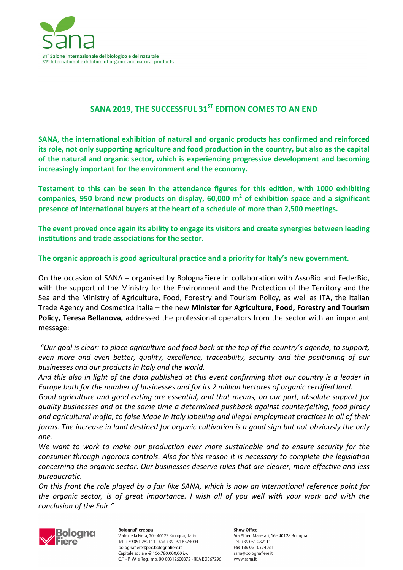

# SANA 2019, THE SUCCESSFUL 31<sup>ST</sup> EDITION COMES TO AN END

**SANA, the international exhibition of natural and organic products has confirmed and reinforced its role, not only supporting agriculture and food production in the country, but also as the capital of the natural and organic sector, which is experiencing progressive development and becoming increasingly important for the environment and the economy.** 

**Testament to this can be seen in the attendance figures for this edition, with 1000 exhibiting companies, 950 brand new products on display, 60,000 m<sup>2</sup> of exhibition space and a significant presence of international buyers at the heart of a schedule of more than 2,500 meetings.** 

**The event proved once again its ability to engage its visitors and create synergies between leading institutions and trade associations for the sector.**

**The organic approach is good agricultural practice and a priority for Italy's new government.** 

On the occasion of SANA – organised by BolognaFiere in collaboration with AssoBio and FederBio, with the support of the Ministry for the Environment and the Protection of the Territory and the Sea and the Ministry of Agriculture, Food, Forestry and Tourism Policy, as well as ITA, the Italian Trade Agency and Cosmetica Italia – the new **Minister for Agriculture, Food, Forestry and Tourism Policy, Teresa Bellanova,** addressed the professional operators from the sector with an important message:

 *"Our goal is clear: to place agriculture and food back at the top of the country's agenda, to support, even more and even better, quality, excellence, traceability, security and the positioning of our businesses and our products in Italy and the world.*

*And this also in light of the data published at this event confirming that our country is a leader in Europe both for the number of businesses and for its 2 million hectares of organic certified land.* 

*Good agriculture and good eating are essential, and that means, on our part, absolute support for quality businesses and at the same time a determined pushback against counterfeiting, food piracy and agricultural mafia, to false Made in Italy labelling and illegal employment practices in all of their forms. The increase in land destined for organic cultivation is a good sign but not obviously the only one.* 

*We want to work to make our production ever more sustainable and to ensure security for the consumer through rigorous controls. Also for this reason it is necessary to complete the legislation concerning the organic sector. Our businesses deserve rules that are clearer, more effective and less bureaucratic.* 

*On this front the role played by a fair like SANA, which is now an international reference point for the organic sector, is of great importance. I wish all of you well with your work and with the conclusion of the Fair."* 



**BolognaFiere spa** Viale della Fiera, 20 - 40127 Bologna, Italia Tel. +39 051 282111 - Fax +39 051 6374004 bolognafiere@pec.bolognafiere.it Capitale sociale € 106.780.000,00 i.v. C.F. - P.IVA e Reg. Imp. BO 00312600372 - REA BO367296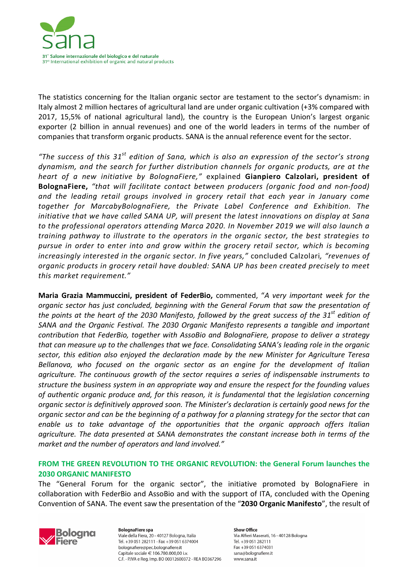

The statistics concerning for the Italian organic sector are testament to the sector's dynamism: in Italy almost 2 million hectares of agricultural land are under organic cultivation (+3% compared with 2017, 15,5% of national agricultural land), the country is the European Union's largest organic exporter (2 billion in annual revenues) and one of the world leaders in terms of the number of companies that transform organic products. SANA is the annual reference event for the sector.

*"The success of this 31st edition of Sana, which is also an expression of the sector's strong dynamism, and the search for further distribution channels for organic products, are at the heart of a new initiative by BolognaFiere,"* explained **Gianpiero Calzolari, president of BolognaFiere,** *"that will facilitate contact between producers (organic food and non-food) and the leading retail groups involved in grocery retail that each year in January come together for MarcabyBolognaFiere, the Private Label Conference and Exhibition. The initiative that we have called SANA UP, will present the latest innovations on display at Sana to the professional operators attending Marca 2020. In November 2019 we will also launch a training pathway to illustrate to the operators in the organic sector, the best strategies to pursue in order to enter into and grow within the grocery retail sector, which is becoming increasingly interested in the organic sector. In five years,"* concluded Calzolari*, "revenues of organic products in grocery retail have doubled: SANA UP has been created precisely to meet this market requirement."*

**Maria Grazia Mammuccini, president of FederBio,** commented, "*A very important week for the organic sector has just concluded, beginning with the General Forum that saw the presentation of the points at the heart of the 2030 Manifesto, followed by the great success of the 31st edition of SANA and the Organic Festival. The 2030 Organic Manifesto represents a tangible and important contribution that FederBio, together with AssoBio and BolognaFiere, propose to deliver a strategy that can measure up to the challenges that we face. Consolidating SANA's leading role in the organic sector, this edition also enjoyed the declaration made by the new Minister for Agriculture Teresa Bellanova, who focused on the organic sector as an engine for the development of Italian agriculture. The continuous growth of the sector requires a series of indispensable instruments to structure the business system in an appropriate way and ensure the respect for the founding values of authentic organic produce and, for this reason, it is fundamental that the legislation concerning organic sector is definitively approved soon. The Minister's declaration is certainly good news for the organic sector and can be the beginning of a pathway for a planning strategy for the sector that can enable us to take advantage of the opportunities that the organic approach offers Italian agriculture. The data presented at SANA demonstrates the constant increase both in terms of the market and the number of operators and land involved."* 

## **FROM THE GREEN REVOLUTION TO THE ORGANIC REVOLUTION: the General Forum launches the 2030 ORGANIC MANIFESTO**

The "General Forum for the organic sector", the initiative promoted by BolognaFiere in collaboration with FederBio and AssoBio and with the support of ITA, concluded with the Opening Convention of SANA. The event saw the presentation of the "**2030 Organic Manifesto**", the result of



**BolognaFiere spa** Viale della Fiera, 20 - 40127 Bologna, Italia Tel. +39 051 282111 - Fax +39 051 6374004 bolognafiere@pec.bolognafiere.it Capitale sociale € 106.780.000,00 i.v. C.F. - P.IVA e Reg. Imp. BO 00312600372 - REA BO367296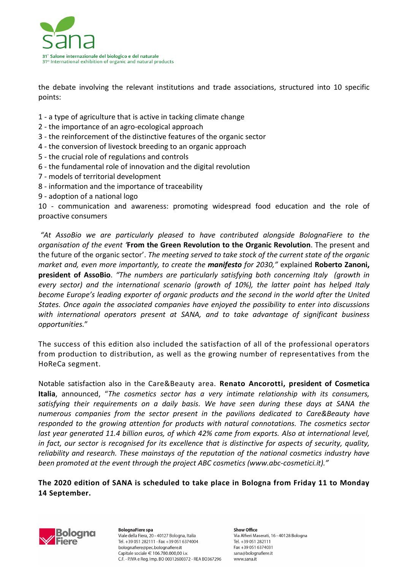

the debate involving the relevant institutions and trade associations, structured into 10 specific points:

- 1 a type of agriculture that is active in tacking climate change
- 2 the importance of an agro-ecological approach
- 3 the reinforcement of the distinctive features of the organic sector
- 4 the conversion of livestock breeding to an organic approach
- 5 the crucial role of regulations and controls
- 6 the fundamental role of innovation and the digital revolution
- 7 models of territorial development
- 8 information and the importance of traceability
- 9 adoption of a national logo

10 - communication and awareness: promoting widespread food education and the role of proactive consumers

 *"At AssoBio we are particularly pleased to have contributed alongside BolognaFiere to the organisation of the event '***From the Green Revolution to the Organic Revolution**. The present and the future of the organic sector'. *The meeting served to take stock of the current state of the organic market and, even more importantly, to create the manifesto for 2030,"* explained **Roberto Zanoni, president of AssoBio**. *"The numbers are particularly satisfying both concerning Italy (growth in every sector) and the international scenario (growth of 10%), the latter point has helped Italy become Europe's leading exporter of organic products and the second in the world after the United States. Once again the associated companies have enjoyed the possibility to enter into discussions with international operators present at SANA, and to take advantage of significant business opportunities.*"

The success of this edition also included the satisfaction of all of the professional operators from production to distribution, as well as the growing number of representatives from the HoReCa segment.

Notable satisfaction also in the Care&Beauty area. **Renato Ancorotti, president of Cosmetica Italia**, announced, "*The cosmetics sector has a very intimate relationship with its consumers, satisfying their requirements on a daily basis. We have seen during these days at SANA the numerous companies from the sector present in the pavilions dedicated to Care&Beauty have responded to the growing attention for products with natural connotations. The cosmetics sector last year generated 11.4 billion euros, of which 42% came from exports. Also at international level, in fact, our sector is recognised for its excellence that is distinctive for aspects of security, quality, reliability and research. These mainstays of the reputation of the national cosmetics industry have been promoted at the event through the project ABC cosmetics (www.abc-cosmetici.it)."*

## **The 2020 edition of SANA is scheduled to take place in Bologna from Friday 11 to Monday 14 September.**



**BolognaFiere spa** Viale della Fiera, 20 - 40127 Bologna, Italia Tel. +39 051 282111 - Fax +39 051 6374004 bolognafiere@pec.bolognafiere.it Capitale sociale € 106.780.000,00 i.v. C.F. - P.IVA e Reg. Imp. BO 00312600372 - REA BO367296